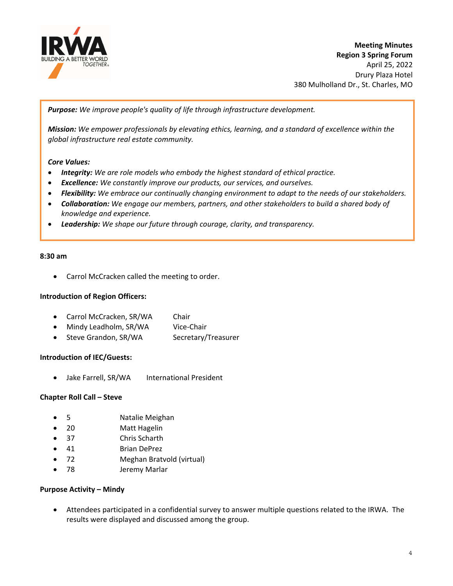

**Meeting Minutes Region 3 Spring Forum** April 25, 2022 Drury Plaza Hotel 380 Mulholland Dr., St. Charles, MO

*Purpose: We improve people's quality of life through infrastructure development.*

*Mission: We empower professionals by elevating ethics, learning, and a standard of excellence within the global infrastructure real estate community.*

# *Core Values:*

- *Integrity: We are role models who embody the highest standard of ethical practice.*
- *Excellence: We constantly improve our products, our services, and ourselves.*
- *Flexibility: We embrace our continually changing environment to adapt to the needs of our stakeholders.*
- *Collaboration: We engage our members, partners, and other stakeholders to build a shared body of knowledge and experience.*
- *Leadership: We shape our future through courage, clarity, and transparency.*

#### **8:30 am**

Carrol McCracken called the meeting to order.

## **Introduction of Region Officers:**

- Carrol McCracken, SR/WA Chair
- Mindy Leadholm, SR/WA Vice-Chair
- Steve Grandon, SR/WA Secretary/Treasurer

## **Introduction of IEC/Guests:**

Jake Farrell, SR/WA International President

## **Chapter Roll Call – Steve**

- 5 Natalie Meighan
- 20 Matt Hagelin
- 37 Chris Scharth
- 41 Brian DePrez
- 72 Meghan Bratvold (virtual)
- 78 Jeremy Marlar

## **Purpose Activity – Mindy**

 Attendees participated in a confidential survey to answer multiple questions related to the IRWA. The results were displayed and discussed among the group.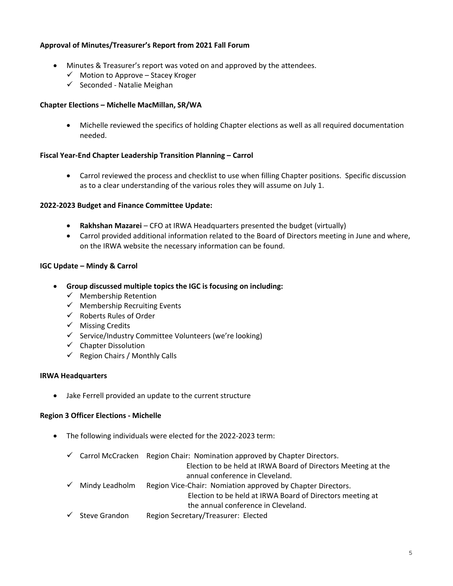- Minutes & Treasurer's report was voted on and approved by the attendees.
	- $\checkmark$  Motion to Approve Stacey Kroger
	- $\checkmark$  Seconded Natalie Meighan

## **Chapter Elections – Michelle MacMillan, SR/WA**

 Michelle reviewed the specifics of holding Chapter elections as well as all required documentation needed.

## **Fiscal Year‐End Chapter Leadership Transition Planning – Carrol**

**Approval of Minutes/Treasurer's Report from 2021 Fall Forum<br>
Minutes & Treasurer's Report from 2021 Fall Forum<br>
Solution - Michael Mediation broads:<br>
<b>Chapter Elections - Michaelle Mediation**, SR/WA<br> **Chapter Elections -**  Carrol reviewed the process and checklist to use when filling Chapter positions. Specific discussion as to a clear understanding of the various roles they will assume on July 1.

## **2022‐2023 Budget and Finance Committee Update:**

- **Rakhshan Mazarei** CFO at IRWA Headquarters presented the budget (virtually)
- Carrol provided additional information related to the Board of Directors meeting in June and where, on the IRWA website the necessary information can be found.

## **IGC Update – Mindy & Carrol**

- **Group discussed multiple topics the IGC is focusing on including:** 
	- $\checkmark$  Membership Retention
	- $\checkmark$  Membership Recruiting Events
	- $\checkmark$  Roberts Rules of Order
	- $\checkmark$  Missing Credits
	- $\checkmark$  Service/Industry Committee Volunteers (we're looking)
	- $\checkmark$  Chapter Dissolution
	- $\checkmark$  Region Chairs / Monthly Calls

## **IRWA Headquarters**

Jake Ferrell provided an update to the current structure

## **Region 3 Officer Elections ‐ Michelle**

- The following individuals were elected for the 2022‐2023 term:
	- $\checkmark$  Carrol McCracken Region Chair: Nomination approved by Chapter Directors.
		- Election to be held at IRWA Board of Directors Meeting at the annual conference in Cleveland.
	- $\checkmark$  Mindy Leadholm Region Vice-Chair: Nomiation approved by Chapter Directors.

Election to be held at IRWA Board of Directors meeting at the annual conference in Cleveland.

 $\checkmark$  Steve Grandon Region Secretary/Treasurer: Elected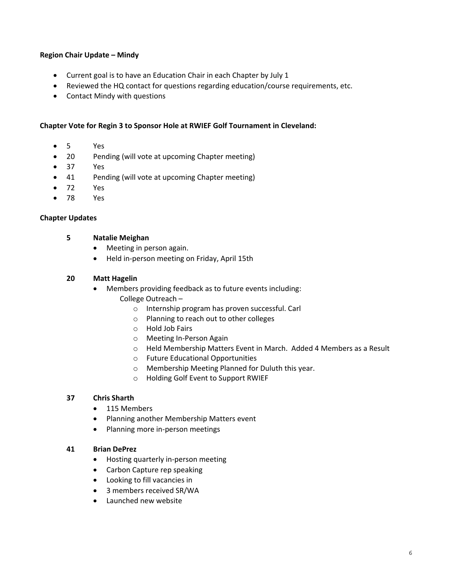# **Region Chair Update – Mindy**

- Current goal is to have an Education Chair in each Chapter by July 1
- Reviewed the HQ contact for questions regarding education/course requirements, etc.
- Contact Mindy with questions

# **Chapter Vote for Regin 3 to Sponsor Hole at RWIEF Golf Tournament in Cleveland:**

- 5 Yes
- 20 Pending (will vote at upcoming Chapter meeting)
- 37 Yes
- 41 Pending (will vote at upcoming Chapter meeting)
- 72 Yes
- 78 Yes

# **Chapter Updates**

- **5 Natalie Meighan**
	- Meeting in person again.
	- Held in-person meeting on Friday, April 15th

# **20 Matt Hagelin**

- Members providing feedback as to future events including: College Outreach –
	- o Internship program has proven successful. Carl
	- o Planning to reach out to other colleges
	- o Hold Job Fairs
	- o Meeting In‐Person Again
	- o Held Membership Matters Event in March. Added 4 Members as a Result
	- o Future Educational Opportunities
	- o Membership Meeting Planned for Duluth this year.
	- o Holding Golf Event to Support RWIEF

# **37 Chris Sharth**

- 115 Members
- Planning another Membership Matters event
- Planning more in-person meetings

# **41 Brian DePrez**

- Hosting quarterly in-person meeting
- Carbon Capture rep speaking
- Looking to fill vacancies in
- 3 members received SR/WA
- Launched new website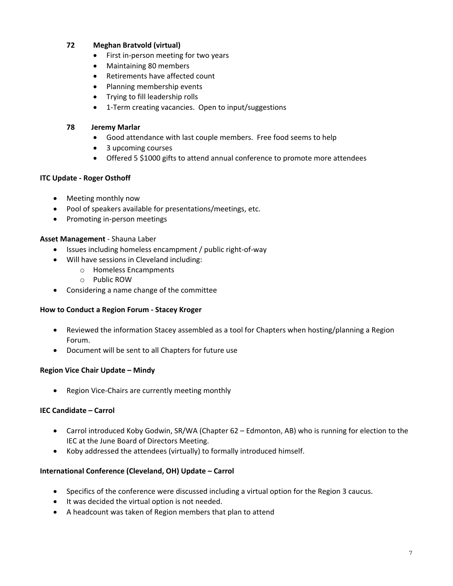# **72 Meghan Bratvold (virtual)**

- First in-person meeting for two years
- Maintaining 80 members
- Retirements have affected count
- Planning membership events
- Trying to fill leadership rolls
- 1-Term creating vacancies. Open to input/suggestions

# **78 Jeremy Marlar**

- Good attendance with last couple members. Free food seems to help
- 3 upcoming courses
- Offered 5 \$1000 gifts to attend annual conference to promote more attendees

# **ITC Update ‐ Roger Osthoff**

- Meeting monthly now
- Pool of speakers available for presentations/meetings, etc.
- Promoting in-person meetings

# **Asset Management** ‐ Shauna Laber

- Issues including homeless encampment / public right-of-way
- Will have sessions in Cleveland including:
	- o Homeless Encampments
	- o Public ROW
- Considering a name change of the committee

# **How to Conduct a Region Forum ‐ Stacey Kroger**

- Reviewed the information Stacey assembled as a tool for Chapters when hosting/planning a Region Forum.
- Document will be sent to all Chapters for future use

# **Region Vice Chair Update – Mindy**

● Region Vice-Chairs are currently meeting monthly

# **IEC Candidate – Carrol**

- Carrol introduced Koby Godwin, SR/WA (Chapter 62 Edmonton, AB) who is running for election to the IEC at the June Board of Directors Meeting.
- Koby addressed the attendees (virtually) to formally introduced himself.

# **International Conference (Cleveland, OH) Update – Carrol**

- Specifics of the conference were discussed including a virtual option for the Region 3 caucus.
- $\bullet$  It was decided the virtual option is not needed.
- A headcount was taken of Region members that plan to attend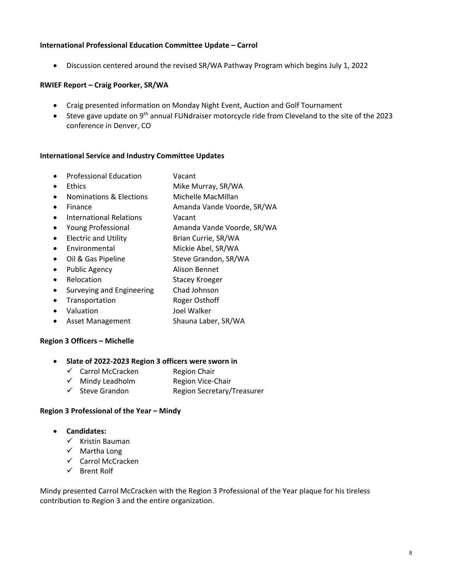# **International Professional Education Committee Update – Carrol**

Discussion centered around the revised SR/WA Pathway Program which begins July 1, 2022

# **RWIEF Report – Craig Poorker, SR/WA**

- Craig presented information on Monday Night Event, Auction and Golf Tournament
- Steve gave update on 9<sup>th</sup> annual FUNdraiser motorcycle ride from Cleveland to the site of the 2023 conference in Denver, CO

## **International Service and Industry Committee Updates**

- Professional Education **Vacant**
- Ethics Mike Murray, SR/WA
- Nominations & Elections Michelle MacMillan
- 
- Finance **Manda Vande Voorde, SR/WA**
- **•** International Relations **CONCOCO VACANT**
- Young Professional Amanda Vande Voorde, SR/WA
- Electric and Utility Brian Currie, SR/WA
- Environmental Mickie Abel, SR/WA
- Oil & Gas Pipeline Steve Grandon, SR/WA
- Public Agency **Alison Bennet**
- 
- Relocation Stacey Kroeger
- Surveying and Engineering Chad Johnson
- Transportation Roger Osthoff
- Valuation Joel Walker
- Asset Management Shauna Laber, SR/WA

# **Region 3 Officers – Michelle**

# **Slate of 2022‐2023 Region 3 officers were sworn in**

- $\checkmark$  Carrol McCracken Region Chair
- $\checkmark$  Mindy Leadholm Region Vice-Chair
- $\checkmark$  Steve Grandon Region Secretary/Treasurer

# **Region 3 Professional of the Year – Mindy**

- **Candidates:**
	- $\checkmark$  Kristin Bauman
	- $\checkmark$  Martha Long
	- $\checkmark$  Carrol McCracken
	- $\checkmark$  Brent Rolf

Mindy presented Carrol McCracken with the Region 3 Professional of the Year plaque for his tireless contribution to Region 3 and the entire organization.